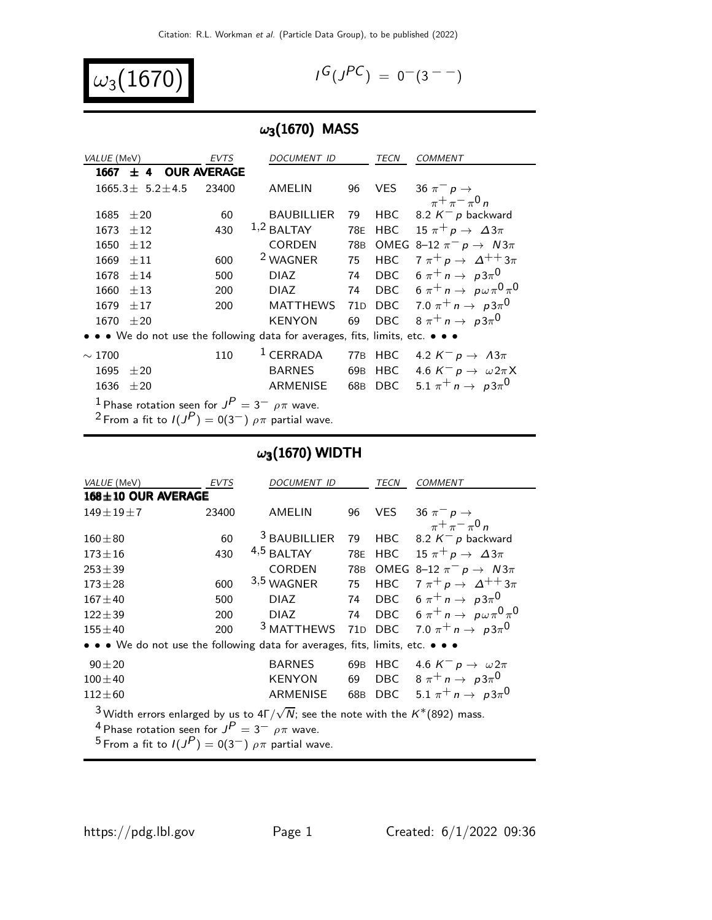$$
\omega_3(1670)
$$

$$
I^G(J^{PC}) = 0^-(3^{--})
$$

## $\omega_3(1670)$  MASS

| VALUE (MeV)                                                                   | <b>EVTS</b> | <i>DOCUMENT ID</i>  |                 | TECN       | <b>COMMENT</b>                                   |  |
|-------------------------------------------------------------------------------|-------------|---------------------|-----------------|------------|--------------------------------------------------|--|
| $\pm$ 4 OUR AVERAGE<br>1667                                                   |             |                     |                 |            |                                                  |  |
| $1665.3 \pm 5.2 \pm 4.5$                                                      | 23400       | AMELIN              | 96              | VES        | 36 $\pi^-$ p $\rightarrow$                       |  |
|                                                                               |             |                     |                 |            | $\pi^+ \pi^- \pi^0 n$                            |  |
| 1685<br>±20                                                                   | 60          | <b>BAUBILLIER</b>   | 79              | HBC.       | 8.2 $K^-$ p backward                             |  |
| 1673<br>$\pm 12$                                                              | 430         | $1,2$ BALTAY        | 78E             | <b>HBC</b> | 15 $\pi^+ p \rightarrow \Delta 3\pi$             |  |
| $+12$<br>1650                                                                 |             | <b>CORDEN</b>       | 78B             |            | OMEG 8-12 $\pi^ p \rightarrow N3\pi$             |  |
| 1669<br>$+11$                                                                 | 600         | <sup>2</sup> WAGNER | 75              | <b>HBC</b> | $7 \pi^+ p \rightarrow \Delta^{++} 3\pi$         |  |
| $+14$<br>1678                                                                 | 500         | <b>DIAZ</b>         | 74              |            | DBC $6 \pi^+ n \rightarrow p3\pi^0$              |  |
| 1660<br>±13                                                                   | 200         | <b>DIAZ</b>         | 74              |            | DBC $6 \pi^+ n \rightarrow p \omega \pi^0 \pi^0$ |  |
| 1679<br>$+17$                                                                 | 200         | <b>MATTHEWS</b>     | 71 <sub>D</sub> |            | DBC 7.0 $\pi^+ n \to p3\pi^0$                    |  |
| 1670<br>$+20$                                                                 |             | <b>KENYON</b>       | 69              | <b>DBC</b> | $8 \pi^+ n \rightarrow p3\pi^0$                  |  |
| • • • We do not use the following data for averages, fits, limits, etc. • • • |             |                     |                 |            |                                                  |  |
| $\sim 1700$                                                                   | 110         | $1$ CERRADA         | 77 <sub>B</sub> | <b>HBC</b> | 4.2 $K^- p \rightarrow A3\pi$                    |  |
| 1695<br>$\pm 20$                                                              |             | <b>BARNES</b>       | 69 <sub>B</sub> | <b>HBC</b> | 4.6 $K^- p \rightarrow \omega 2\pi X$            |  |
| 1636<br>±20                                                                   |             | <b>ARMENISE</b>     | 68B             | <b>DBC</b> | 5.1 $\pi^+ n \to p3\pi^0$                        |  |
| <sup>1</sup> Phase rotation seen for $J^P = 3^ \rho \pi$ wave.                |             |                     |                 |            |                                                  |  |

 $^2$  From a fit to  $I(J^P)=0(3^-)$   $\rho\pi$  partial wave.

## $\omega_3$ (1670) WIDTH

| VALUE (MeV)                                                                                                       | <b>EVTS</b> | <b>DOCUMENT ID</b>      |                 | <b>TECN</b> | <b>COMMENT</b>                                      |  |  |
|-------------------------------------------------------------------------------------------------------------------|-------------|-------------------------|-----------------|-------------|-----------------------------------------------------|--|--|
| 168±10 OUR AVERAGE                                                                                                |             |                         |                 |             |                                                     |  |  |
| $149 \pm 19 \pm 7$                                                                                                | 23400       | AMELIN                  | 96              | VES.        | 36 $\pi^-$ p $\rightarrow$                          |  |  |
|                                                                                                                   |             |                         |                 |             | $\pi^+ \pi^- \pi^0 n$                               |  |  |
| $160 + 80$                                                                                                        | 60          | <sup>3</sup> BAUBILLIER | 79              | HBC         | 8.2 $K^- p$ backward                                |  |  |
| $173 \pm 16$                                                                                                      | 430         | $4,5$ BALTAY            | <b>78E</b>      | <b>HBC</b>  | 15 $\pi^+ p \rightarrow \Delta 3\pi$                |  |  |
| $253 \pm 39$                                                                                                      |             | CORDEN                  | 78B             |             | OMEG 8-12 $\pi^ p \rightarrow N3\pi$                |  |  |
| $173 + 28$                                                                                                        | 600         | 3,5 WAGNER              | 75              | <b>HBC</b>  | $7 \pi^+ p \rightarrow \Delta^{++} 3\pi$            |  |  |
| $167 + 40$                                                                                                        | 500         | <b>DIAZ</b>             | 74              |             | DBC $6\pi^+ n \rightarrow p3\pi^0$                  |  |  |
| $122 \pm 39$                                                                                                      | 200         | <b>DIAZ</b>             |                 |             | 74 DBC $6 \pi^+ n \rightarrow p \omega \pi^0 \pi^0$ |  |  |
| $155 \pm 40$                                                                                                      | 200         | <sup>3</sup> MATTHEWS   |                 |             | 71D DBC 7.0 $\pi^+ n \to p3\pi^0$                   |  |  |
| • • • We do not use the following data for averages, fits, limits, etc. • • •                                     |             |                         |                 |             |                                                     |  |  |
| $90 \pm 20$                                                                                                       |             | <b>BARNES</b>           | 69 <sub>B</sub> |             | HBC 4.6 $K^- p \rightarrow \omega 2\pi$             |  |  |
| $100 \pm 40$                                                                                                      |             | <b>KENYON</b>           | 69              |             | DBC $8 \pi^+ n \rightarrow p3\pi^0$                 |  |  |
| $112\pm 60$                                                                                                       |             | <b>ARMENISE</b>         | 68B             |             | DBC 5.1 $\pi^+ n \to p3\pi^0$                       |  |  |
| <sup>3</sup> Width errors enlarged by us to $4\Gamma/\sqrt{N}$ ; see the note with the K <sup>*</sup> (892) mass. |             |                         |                 |             |                                                     |  |  |
| <sup>4</sup> Phase rotation seen for $J^P = 3^ \rho \pi$ wave.                                                    |             |                         |                 |             |                                                     |  |  |
| 5 - A AD A                                                                                                        |             |                         |                 |             |                                                     |  |  |

 $^5$  From a fit to  $I(J^P)=0(3^-)$   $\rho\pi$  partial wave.